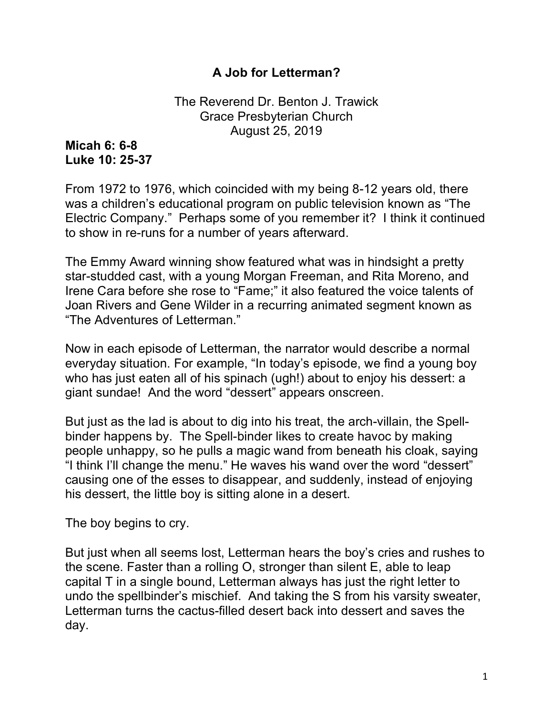## **A Job for Letterman?**

The Reverend Dr. Benton J. Trawick Grace Presbyterian Church August 25, 2019

## **Micah 6: 6-8 Luke 10: 25-37**

From 1972 to 1976, which coincided with my being 8-12 years old, there was a children's educational program on public television known as "The Electric Company." Perhaps some of you remember it? I think it continued to show in re-runs for a number of years afterward.

The Emmy Award winning show featured what was in hindsight a pretty star-studded cast, with a young Morgan Freeman, and Rita Moreno, and Irene Cara before she rose to "Fame;" it also featured the voice talents of Joan Rivers and Gene Wilder in a recurring animated segment known as "The Adventures of Letterman."

Now in each episode of Letterman, the narrator would describe a normal everyday situation. For example, "In today's episode, we find a young boy who has just eaten all of his spinach (ugh!) about to enjoy his dessert: a giant sundae! And the word "dessert" appears onscreen.

But just as the lad is about to dig into his treat, the arch-villain, the Spellbinder happens by. The Spell-binder likes to create havoc by making people unhappy, so he pulls a magic wand from beneath his cloak, saying "I think I'll change the menu." He waves his wand over the word "dessert" causing one of the esses to disappear, and suddenly, instead of enjoying his dessert, the little boy is sitting alone in a desert.

The boy begins to cry.

But just when all seems lost, Letterman hears the boy's cries and rushes to the scene. Faster than a rolling O, stronger than silent E, able to leap capital T in a single bound, Letterman always has just the right letter to undo the spellbinder's mischief. And taking the S from his varsity sweater, Letterman turns the cactus-filled desert back into dessert and saves the day.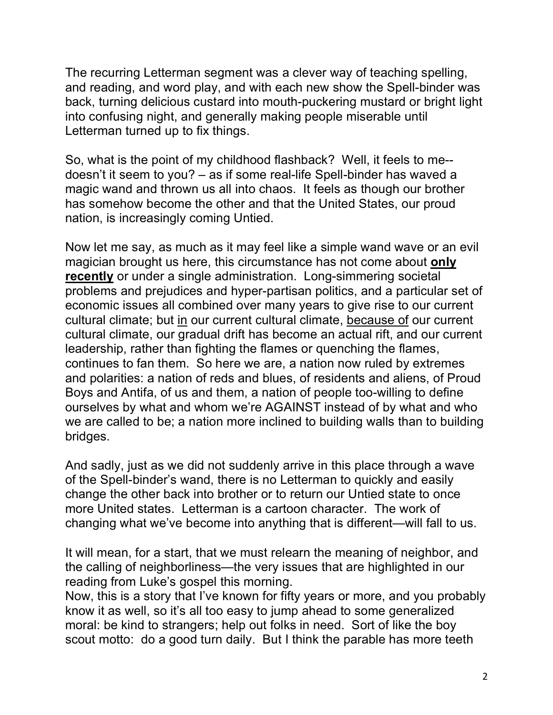The recurring Letterman segment was a clever way of teaching spelling, and reading, and word play, and with each new show the Spell-binder was back, turning delicious custard into mouth-puckering mustard or bright light into confusing night, and generally making people miserable until Letterman turned up to fix things.

So, what is the point of my childhood flashback? Well, it feels to me- doesn't it seem to you? – as if some real-life Spell-binder has waved a magic wand and thrown us all into chaos. It feels as though our brother has somehow become the other and that the United States, our proud nation, is increasingly coming Untied.

Now let me say, as much as it may feel like a simple wand wave or an evil magician brought us here, this circumstance has not come about **only recently** or under a single administration. Long-simmering societal problems and prejudices and hyper-partisan politics, and a particular set of economic issues all combined over many years to give rise to our current cultural climate; but in our current cultural climate, because of our current cultural climate, our gradual drift has become an actual rift, and our current leadership, rather than fighting the flames or quenching the flames, continues to fan them. So here we are, a nation now ruled by extremes and polarities: a nation of reds and blues, of residents and aliens, of Proud Boys and Antifa, of us and them, a nation of people too-willing to define ourselves by what and whom we're AGAINST instead of by what and who we are called to be; a nation more inclined to building walls than to building bridges.

And sadly, just as we did not suddenly arrive in this place through a wave of the Spell-binder's wand, there is no Letterman to quickly and easily change the other back into brother or to return our Untied state to once more United states. Letterman is a cartoon character. The work of changing what we've become into anything that is different—will fall to us.

It will mean, for a start, that we must relearn the meaning of neighbor, and the calling of neighborliness—the very issues that are highlighted in our reading from Luke's gospel this morning.

Now, this is a story that I've known for fifty years or more, and you probably know it as well, so it's all too easy to jump ahead to some generalized moral: be kind to strangers; help out folks in need. Sort of like the boy scout motto: do a good turn daily. But I think the parable has more teeth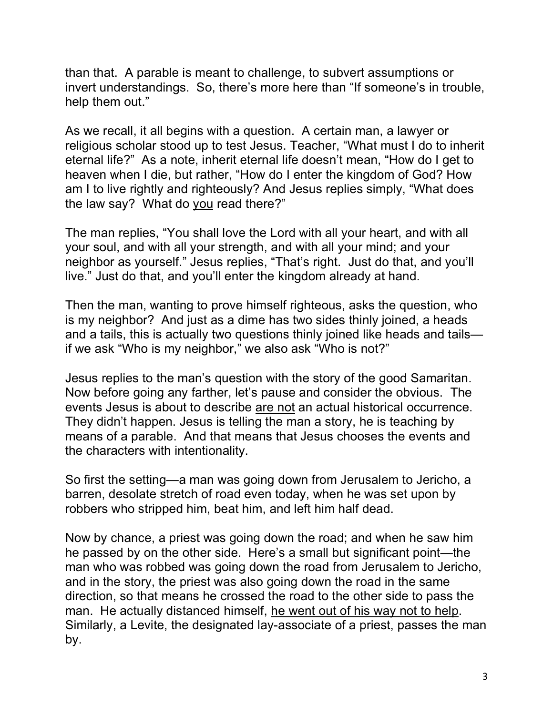than that. A parable is meant to challenge, to subvert assumptions or invert understandings. So, there's more here than "If someone's in trouble, help them out."

As we recall, it all begins with a question. A certain man, a lawyer or religious scholar stood up to test Jesus. Teacher, "What must I do to inherit eternal life?" As a note, inherit eternal life doesn't mean, "How do I get to heaven when I die, but rather, "How do I enter the kingdom of God? How am I to live rightly and righteously? And Jesus replies simply, "What does the law say? What do you read there?"

The man replies, "You shall love the Lord with all your heart, and with all your soul, and with all your strength, and with all your mind; and your neighbor as yourself." Jesus replies, "That's right. Just do that, and you'll live." Just do that, and you'll enter the kingdom already at hand.

Then the man, wanting to prove himself righteous, asks the question, who is my neighbor? And just as a dime has two sides thinly joined, a heads and a tails, this is actually two questions thinly joined like heads and tails if we ask "Who is my neighbor," we also ask "Who is not?"

Jesus replies to the man's question with the story of the good Samaritan. Now before going any farther, let's pause and consider the obvious. The events Jesus is about to describe are not an actual historical occurrence. They didn't happen. Jesus is telling the man a story, he is teaching by means of a parable. And that means that Jesus chooses the events and the characters with intentionality.

So first the setting—a man was going down from Jerusalem to Jericho, a barren, desolate stretch of road even today, when he was set upon by robbers who stripped him, beat him, and left him half dead.

Now by chance, a priest was going down the road; and when he saw him he passed by on the other side. Here's a small but significant point—the man who was robbed was going down the road from Jerusalem to Jericho, and in the story, the priest was also going down the road in the same direction, so that means he crossed the road to the other side to pass the man. He actually distanced himself, he went out of his way not to help. Similarly, a Levite, the designated lay-associate of a priest, passes the man by.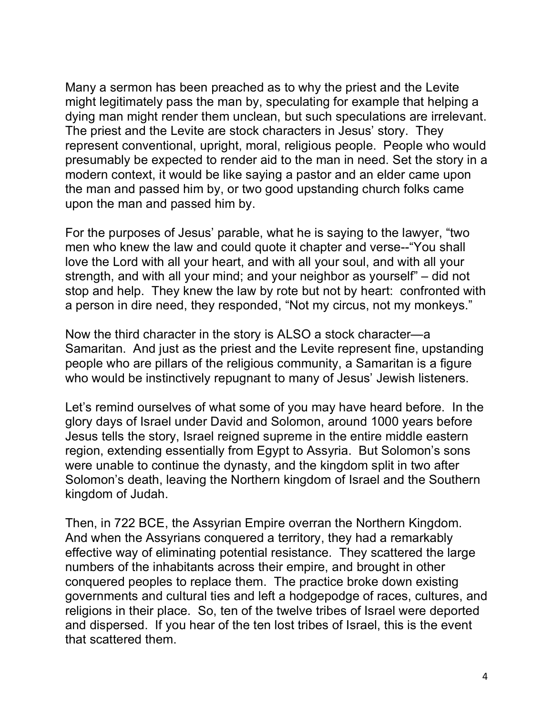Many a sermon has been preached as to why the priest and the Levite might legitimately pass the man by, speculating for example that helping a dying man might render them unclean, but such speculations are irrelevant. The priest and the Levite are stock characters in Jesus' story. They represent conventional, upright, moral, religious people. People who would presumably be expected to render aid to the man in need. Set the story in a modern context, it would be like saying a pastor and an elder came upon the man and passed him by, or two good upstanding church folks came upon the man and passed him by.

For the purposes of Jesus' parable, what he is saying to the lawyer, "two men who knew the law and could quote it chapter and verse--"You shall love the Lord with all your heart, and with all your soul, and with all your strength, and with all your mind; and your neighbor as yourself" – did not stop and help. They knew the law by rote but not by heart: confronted with a person in dire need, they responded, "Not my circus, not my monkeys."

Now the third character in the story is ALSO a stock character—a Samaritan. And just as the priest and the Levite represent fine, upstanding people who are pillars of the religious community, a Samaritan is a figure who would be instinctively repugnant to many of Jesus' Jewish listeners.

Let's remind ourselves of what some of you may have heard before. In the glory days of Israel under David and Solomon, around 1000 years before Jesus tells the story, Israel reigned supreme in the entire middle eastern region, extending essentially from Egypt to Assyria. But Solomon's sons were unable to continue the dynasty, and the kingdom split in two after Solomon's death, leaving the Northern kingdom of Israel and the Southern kingdom of Judah.

Then, in 722 BCE, the Assyrian Empire overran the Northern Kingdom. And when the Assyrians conquered a territory, they had a remarkably effective way of eliminating potential resistance. They scattered the large numbers of the inhabitants across their empire, and brought in other conquered peoples to replace them. The practice broke down existing governments and cultural ties and left a hodgepodge of races, cultures, and religions in their place. So, ten of the twelve tribes of Israel were deported and dispersed. If you hear of the ten lost tribes of Israel, this is the event that scattered them.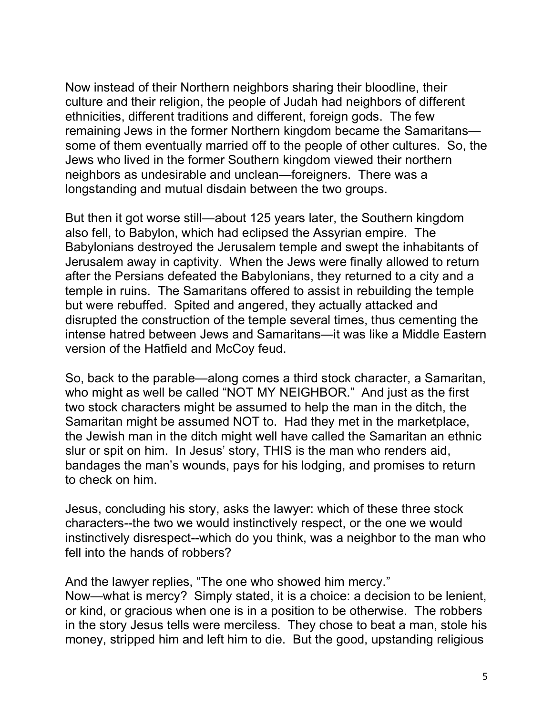Now instead of their Northern neighbors sharing their bloodline, their culture and their religion, the people of Judah had neighbors of different ethnicities, different traditions and different, foreign gods. The few remaining Jews in the former Northern kingdom became the Samaritans some of them eventually married off to the people of other cultures. So, the Jews who lived in the former Southern kingdom viewed their northern neighbors as undesirable and unclean—foreigners. There was a longstanding and mutual disdain between the two groups.

But then it got worse still—about 125 years later, the Southern kingdom also fell, to Babylon, which had eclipsed the Assyrian empire. The Babylonians destroyed the Jerusalem temple and swept the inhabitants of Jerusalem away in captivity. When the Jews were finally allowed to return after the Persians defeated the Babylonians, they returned to a city and a temple in ruins. The Samaritans offered to assist in rebuilding the temple but were rebuffed. Spited and angered, they actually attacked and disrupted the construction of the temple several times, thus cementing the intense hatred between Jews and Samaritans—it was like a Middle Eastern version of the Hatfield and McCoy feud.

So, back to the parable—along comes a third stock character, a Samaritan, who might as well be called "NOT MY NEIGHBOR." And just as the first two stock characters might be assumed to help the man in the ditch, the Samaritan might be assumed NOT to. Had they met in the marketplace, the Jewish man in the ditch might well have called the Samaritan an ethnic slur or spit on him. In Jesus' story, THIS is the man who renders aid, bandages the man's wounds, pays for his lodging, and promises to return to check on him.

Jesus, concluding his story, asks the lawyer: which of these three stock characters--the two we would instinctively respect, or the one we would instinctively disrespect--which do you think, was a neighbor to the man who fell into the hands of robbers?

And the lawyer replies, "The one who showed him mercy."

Now—what is mercy? Simply stated, it is a choice: a decision to be lenient, or kind, or gracious when one is in a position to be otherwise. The robbers in the story Jesus tells were merciless. They chose to beat a man, stole his money, stripped him and left him to die. But the good, upstanding religious